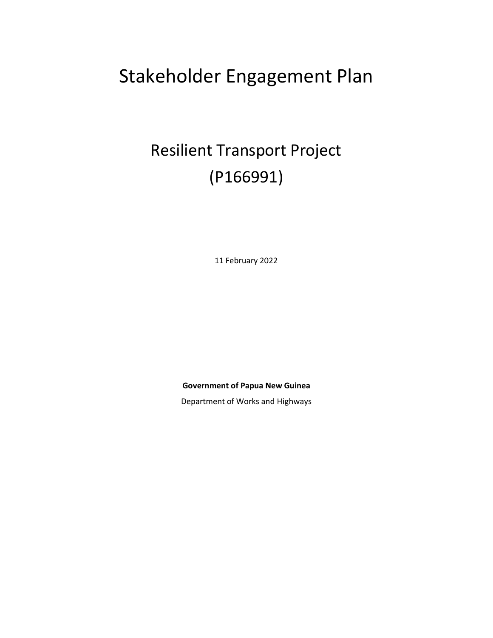# Stakeholder Engagement Plan

# Resilient Transport Project (P166991)

11 February 2022

**Government of Papua New Guinea**

Department of Works and Highways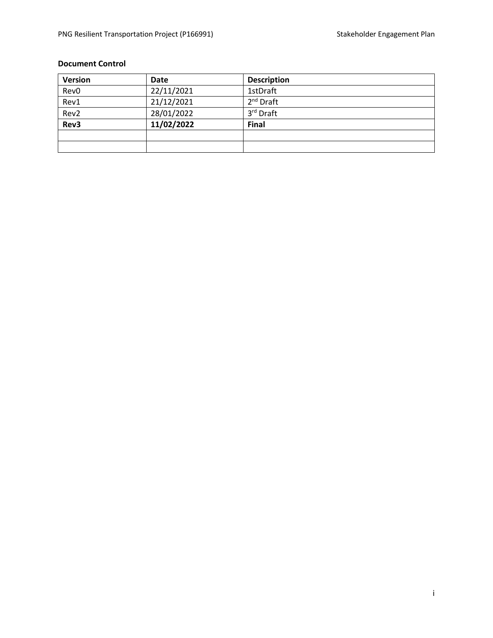### **Document Control**

| <b>Version</b>   | Date       | <b>Description</b> |
|------------------|------------|--------------------|
| Rev <sub>0</sub> | 22/11/2021 | 1stDraft           |
| Rev1             | 21/12/2021 | $2nd$ Draft        |
| Rev <sub>2</sub> | 28/01/2022 | 3rd Draft          |
| Rev3             | 11/02/2022 | <b>Final</b>       |
|                  |            |                    |
|                  |            |                    |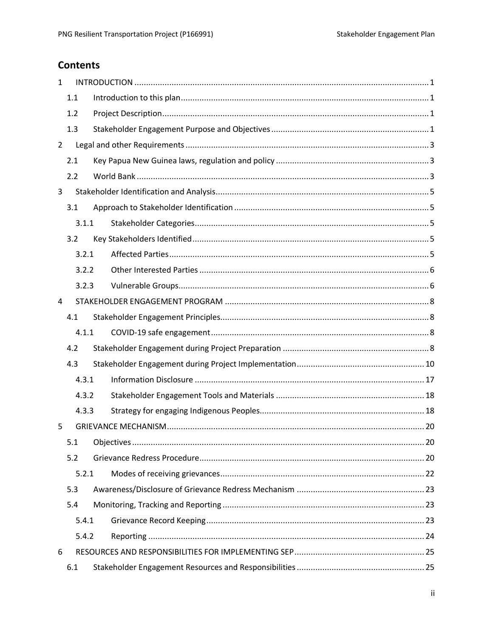## **Contents**

| $\mathbf{1}$   |       |  |
|----------------|-------|--|
|                | 1.1   |  |
|                | 1.2   |  |
|                | 1.3   |  |
| $\overline{2}$ |       |  |
|                | 2.1   |  |
|                | 2.2   |  |
| 3              |       |  |
|                | 3.1   |  |
|                | 3.1.1 |  |
|                | 3.2   |  |
|                | 3.2.1 |  |
|                | 3.2.2 |  |
|                | 3.2.3 |  |
| 4              |       |  |
|                | 4.1   |  |
|                | 4.1.1 |  |
|                | 4.2   |  |
|                | 4.3   |  |
|                | 4.3.1 |  |
|                | 4.3.2 |  |
|                | 4.3.3 |  |
| 5              |       |  |
|                | 5.1   |  |
|                | 5.2   |  |
|                | 5.2.1 |  |
|                | 5.3   |  |
|                | 5.4   |  |
|                | 5.4.1 |  |
|                | 5.4.2 |  |
| 6              |       |  |
|                | 6.1   |  |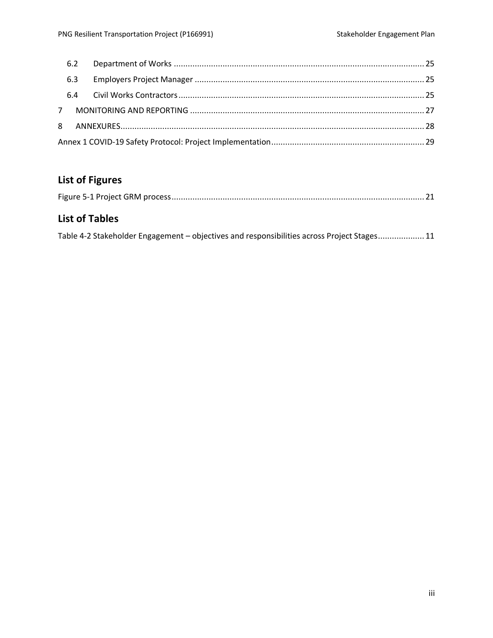# **List of Figures**

## **List of Tables**

| Table 4-2 Stakeholder Engagement - objectives and responsibilities across Project Stages 11 |  |  |  |
|---------------------------------------------------------------------------------------------|--|--|--|
|                                                                                             |  |  |  |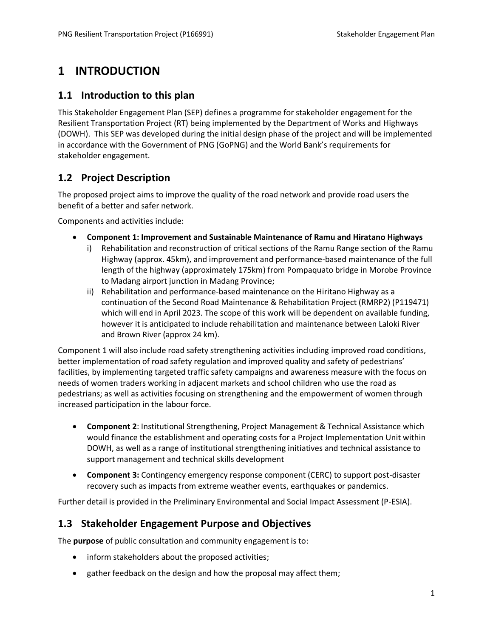# <span id="page-4-0"></span>**1 INTRODUCTION**

### <span id="page-4-1"></span>**1.1 Introduction to this plan**

This Stakeholder Engagement Plan (SEP) defines a programme for stakeholder engagement for the Resilient Transportation Project (RT) being implemented by the Department of Works and Highways (DOWH). This SEP was developed during the initial design phase of the project and will be implemented in accordance with the Government of PNG (GoPNG) and the World Bank's requirements for stakeholder engagement.

### <span id="page-4-2"></span>**1.2 Project Description**

The proposed project aims to improve the quality of the road network and provide road users the benefit of a better and safer network.

Components and activities include:

- **Component 1: Improvement and Sustainable Maintenance of Ramu and Hiratano Highways**
	- i) Rehabilitation and reconstruction of critical sections of the Ramu Range section of the Ramu Highway (approx. 45km), and improvement and performance-based maintenance of the full length of the highway (approximately 175km) from Pompaquato bridge in Morobe Province to Madang airport junction in Madang Province;
	- ii) Rehabilitation and performance-based maintenance on the Hiritano Highway as a continuation of the Second Road Maintenance & Rehabilitation Project (RMRP2) (P119471) which will end in April 2023. The scope of this work will be dependent on available funding, however it is anticipated to include rehabilitation and maintenance between Laloki River and Brown River (approx 24 km).

Component 1 will also include road safety strengthening activities including improved road conditions, better implementation of road safety regulation and improved quality and safety of pedestrians' facilities, by implementing targeted traffic safety campaigns and awareness measure with the focus on needs of women traders working in adjacent markets and school children who use the road as pedestrians; as well as activities focusing on strengthening and the empowerment of women through increased participation in the labour force.

- **Component 2**: Institutional Strengthening, Project Management & Technical Assistance which would finance the establishment and operating costs for a Project Implementation Unit within DOWH, as well as a range of institutional strengthening initiatives and technical assistance to support management and technical skills development
- **Component 3:** Contingency emergency response component (CERC) to support post-disaster recovery such as impacts from extreme weather events, earthquakes or pandemics.

<span id="page-4-3"></span>Further detail is provided in the Preliminary Environmental and Social Impact Assessment (P-ESIA).

### **1.3 Stakeholder Engagement Purpose and Objectives**

The **purpose** of public consultation and community engagement is to:

- inform stakeholders about the proposed activities;
- gather feedback on the design and how the proposal may affect them;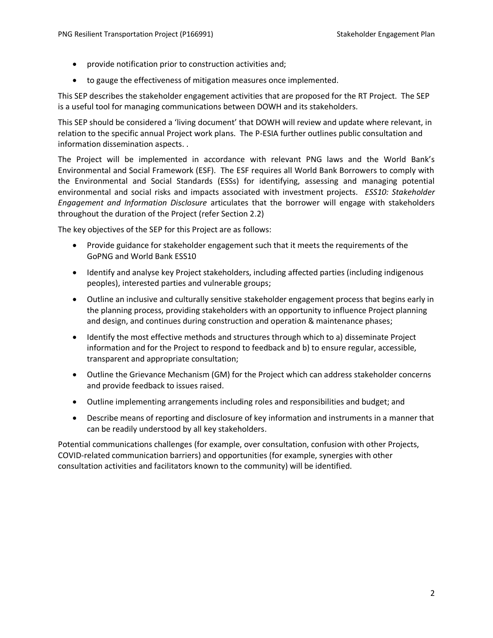- provide notification prior to construction activities and;
- to gauge the effectiveness of mitigation measures once implemented.

This SEP describes the stakeholder engagement activities that are proposed for the RT Project. The SEP is a useful tool for managing communications between DOWH and its stakeholders.

This SEP should be considered a 'living document' that DOWH will review and update where relevant, in relation to the specific annual Project work plans. The P-ESIA further outlines public consultation and information dissemination aspects. .

The Project will be implemented in accordance with relevant PNG laws and the World Bank's Environmental and Social Framework (ESF). The ESF requires all World Bank Borrowers to comply with the Environmental and Social Standards (ESSs) for identifying, assessing and managing potential environmental and social risks and impacts associated with investment projects. *ESS10: Stakeholder Engagement and Information Disclosure* articulates that the borrower will engage with stakeholders throughout the duration of the Project (refer Sectio[n 2.2\)](#page-6-2)

The key objectives of the SEP for this Project are as follows:

- Provide guidance for stakeholder engagement such that it meets the requirements of the GoPNG and World Bank ESS10
- Identify and analyse key Project stakeholders, including affected parties (including indigenous peoples), interested parties and vulnerable groups;
- Outline an inclusive and culturally sensitive stakeholder engagement process that begins early in the planning process, providing stakeholders with an opportunity to influence Project planning and design, and continues during construction and operation & maintenance phases;
- Identify the most effective methods and structures through which to a) disseminate Project information and for the Project to respond to feedback and b) to ensure regular, accessible, transparent and appropriate consultation;
- Outline the Grievance Mechanism (GM) for the Project which can address stakeholder concerns and provide feedback to issues raised.
- Outline implementing arrangements including roles and responsibilities and budget; and
- Describe means of reporting and disclosure of key information and instruments in a manner that can be readily understood by all key stakeholders.

Potential communications challenges (for example, over consultation, confusion with other Projects, COVID-related communication barriers) and opportunities (for example, synergies with other consultation activities and facilitators known to the community) will be identified.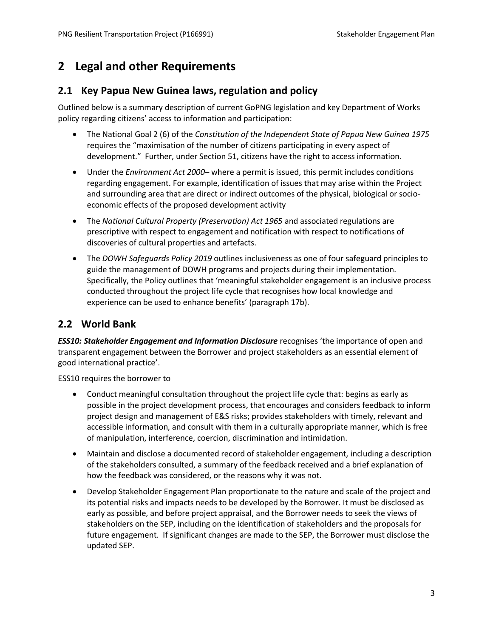# <span id="page-6-0"></span>**2 Legal and other Requirements**

### <span id="page-6-1"></span>**2.1 Key Papua New Guinea laws, regulation and policy**

Outlined below is a summary description of current GoPNG legislation and key Department of Works policy regarding citizens' access to information and participation:

- The National Goal 2 (6) of the *Constitution of the Independent State of Papua New Guinea 1975* requires the "maximisation of the number of citizens participating in every aspect of development." Further, under Section 51, citizens have the right to access information.
- Under the *Environment Act 2000* where a permit is issued, this permit includes conditions regarding engagement. For example, identification of issues that may arise within the Project and surrounding area that are direct or indirect outcomes of the physical, biological or socioeconomic effects of the proposed development activity
- The *National Cultural Property (Preservation) Act 1965* and associated regulations are prescriptive with respect to engagement and notification with respect to notifications of discoveries of cultural properties and artefacts.
- The *DOWH Safeguards Policy 2019* outlines inclusiveness as one of four safeguard principles to guide the management of DOWH programs and projects during their implementation. Specifically, the Policy outlines that 'meaningful stakeholder engagement is an inclusive process conducted throughout the project life cycle that recognises how local knowledge and experience can be used to enhance benefits' (paragraph 17b).

### <span id="page-6-2"></span>**2.2 World Bank**

*ESS10: Stakeholder Engagement and Information Disclosure* recognises 'the importance of open and transparent engagement between the Borrower and project stakeholders as an essential element of good international practice'.

ESS10 requires the borrower to

- Conduct meaningful consultation throughout the project life cycle that: begins as early as possible in the project development process, that encourages and considers feedback to inform project design and management of E&S risks; provides stakeholders with timely, relevant and accessible information, and consult with them in a culturally appropriate manner, which is free of manipulation, interference, coercion, discrimination and intimidation.
- Maintain and disclose a documented record of stakeholder engagement, including a description of the stakeholders consulted, a summary of the feedback received and a brief explanation of how the feedback was considered, or the reasons why it was not.
- Develop Stakeholder Engagement Plan proportionate to the nature and scale of the project and its potential risks and impacts needs to be developed by the Borrower. It must be disclosed as early as possible, and before project appraisal, and the Borrower needs to seek the views of stakeholders on the SEP, including on the identification of stakeholders and the proposals for future engagement. If significant changes are made to the SEP, the Borrower must disclose the updated SEP.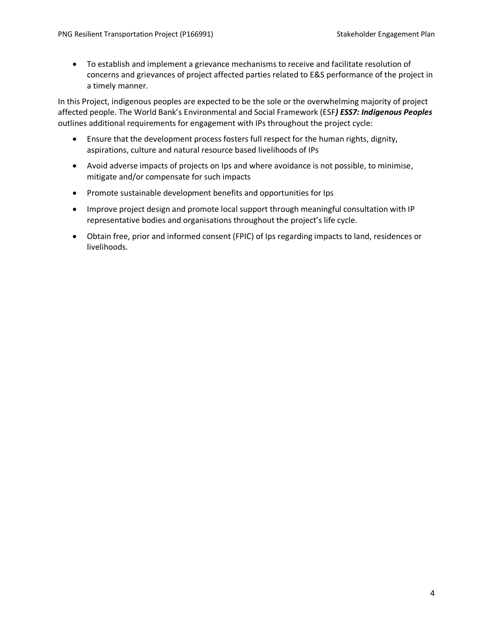• To establish and implement a grievance mechanisms to receive and facilitate resolution of concerns and grievances of project affected parties related to E&S performance of the project in a timely manner.

In this Project, indigenous peoples are expected to be the sole or the overwhelming majority of project affected people. The World Bank's Environmental and Social Framework (ESF*) ESS7: Indigenous Peoples* outlines additional requirements for engagement with IPs throughout the project cycle:

- Ensure that the development process fosters full respect for the human rights, dignity, aspirations, culture and natural resource based livelihoods of IPs
- Avoid adverse impacts of projects on Ips and where avoidance is not possible, to minimise, mitigate and/or compensate for such impacts
- Promote sustainable development benefits and opportunities for Ips
- Improve project design and promote local support through meaningful consultation with IP representative bodies and organisations throughout the project's life cycle.
- Obtain free, prior and informed consent (FPIC) of Ips regarding impacts to land, residences or livelihoods.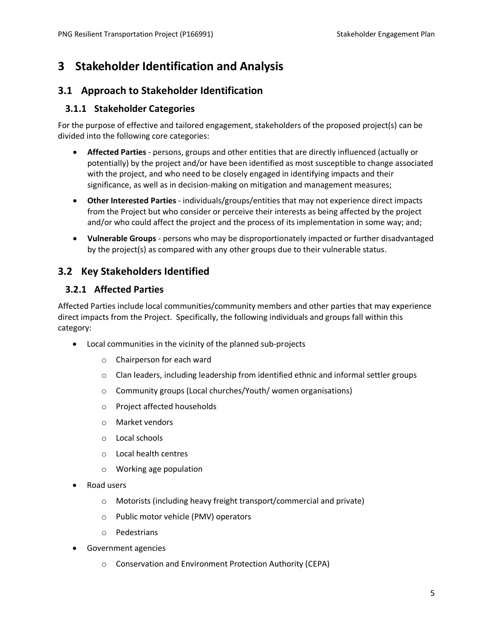# <span id="page-8-0"></span>**3 Stakeholder Identification and Analysis**

### <span id="page-8-1"></span>**3.1 Approach to Stakeholder Identification**

### <span id="page-8-2"></span>**3.1.1 Stakeholder Categories**

For the purpose of effective and tailored engagement, stakeholders of the proposed project(s) can be divided into the following core categories:

- **Affected Parties** persons, groups and other entities that are directly influenced (actually or potentially) by the project and/or have been identified as most susceptible to change associated with the project, and who need to be closely engaged in identifying impacts and their significance, as well as in decision-making on mitigation and management measures;
- **Other Interested Parties** individuals/groups/entities that may not experience direct impacts from the Project but who consider or perceive their interests as being affected by the project and/or who could affect the project and the process of its implementation in some way; and;
- **Vulnerable Groups** persons who may be disproportionately impacted or further disadvantaged by the project(s) as compared with any other groups due to their vulnerable status.

### <span id="page-8-3"></span>**3.2 Key Stakeholders Identified**

### <span id="page-8-4"></span>**3.2.1 Affected Parties**

Affected Parties include local communities/community members and other parties that may experience direct impacts from the Project. Specifically, the following individuals and groups fall within this category:

- Local communities in the vicinity of the planned sub-projects
	- o Chairperson for each ward
	- $\circ$  Clan leaders, including leadership from identified ethnic and informal settler groups
	- o Community groups (Local churches/Youth/ women organisations)
	- o Project affected households
	- o Market vendors
	- o Local schools
	- o Local health centres
	- o Working age population
- Road users
	- o Motorists (including heavy freight transport/commercial and private)
	- o Public motor vehicle (PMV) operators
	- o Pedestrians
- Government agencies
	- o Conservation and Environment Protection Authority (CEPA)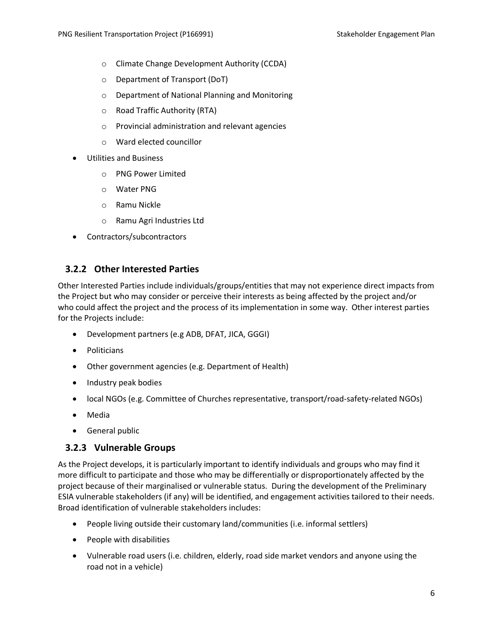- o Climate Change Development Authority (CCDA)
- o Department of Transport (DoT)
- o Department of National Planning and Monitoring
- o Road Traffic Authority (RTA)
- o Provincial administration and relevant agencies
- o Ward elected councillor
- Utilities and Business
	- o PNG Power Limited
	- o Water PNG
	- o Ramu Nickle
	- o Ramu Agri Industries Ltd
- Contractors/subcontractors

#### <span id="page-9-0"></span>**3.2.2 Other Interested Parties**

Other Interested Parties include individuals/groups/entities that may not experience direct impacts from the Project but who may consider or perceive their interests as being affected by the project and/or who could affect the project and the process of its implementation in some way. Other interest parties for the Projects include:

- Development partners (e.g ADB, DFAT, JICA, GGGI)
- Politicians
- Other government agencies (e.g. Department of Health)
- Industry peak bodies
- local NGOs (e.g. Committee of Churches representative, transport/road-safety-related NGOs)
- Media
- General public

#### <span id="page-9-1"></span>**3.2.3 Vulnerable Groups**

As the Project develops, it is particularly important to identify individuals and groups who may find it more difficult to participate and those who may be differentially or disproportionately affected by the project because of their marginalised or vulnerable status. During the development of the Preliminary ESIA vulnerable stakeholders (if any) will be identified, and engagement activities tailored to their needs. Broad identification of vulnerable stakeholders includes:

- People living outside their customary land/communities (i.e. informal settlers)
- People with disabilities
- Vulnerable road users (i.e. children, elderly, road side market vendors and anyone using the road not in a vehicle)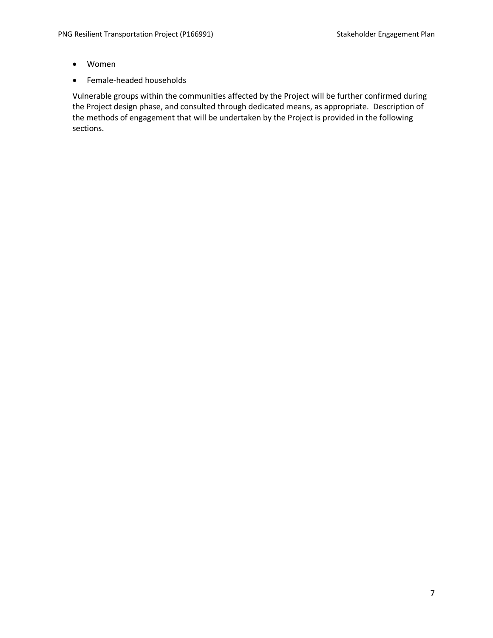- Women
- Female-headed households

Vulnerable groups within the communities affected by the Project will be further confirmed during the Project design phase, and consulted through dedicated means, as appropriate. Description of the methods of engagement that will be undertaken by the Project is provided in the following sections.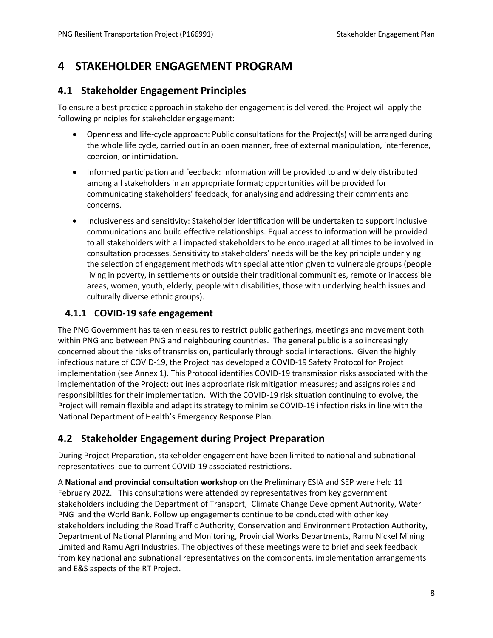# <span id="page-11-0"></span>**4 STAKEHOLDER ENGAGEMENT PROGRAM**

### <span id="page-11-1"></span>**4.1 Stakeholder Engagement Principles**

To ensure a best practice approach in stakeholder engagement is delivered, the Project will apply the following principles for stakeholder engagement:

- Openness and life-cycle approach: Public consultations for the Project(s) will be arranged during the whole life cycle, carried out in an open manner, free of external manipulation, interference, coercion, or intimidation.
- Informed participation and feedback: Information will be provided to and widely distributed among all stakeholders in an appropriate format; opportunities will be provided for communicating stakeholders' feedback, for analysing and addressing their comments and concerns.
- Inclusiveness and sensitivity: Stakeholder identification will be undertaken to support inclusive communications and build effective relationships. Equal access to information will be provided to all stakeholders with all impacted stakeholders to be encouraged at all times to be involved in consultation processes. Sensitivity to stakeholders' needs will be the key principle underlying the selection of engagement methods with special attention given to vulnerable groups (people living in poverty, in settlements or outside their traditional communities, remote or inaccessible areas, women, youth, elderly, people with disabilities, those with underlying health issues and culturally diverse ethnic groups).

### <span id="page-11-2"></span>**4.1.1 COVID-19 safe engagement**

The PNG Government has taken measures to restrict public gatherings, meetings and movement both within PNG and between PNG and neighbouring countries. The general public is also increasingly concerned about the risks of transmission, particularly through social interactions. Given the highly infectious nature of COVID-19, the Project has developed a COVID-19 Safety Protocol for Project implementation (see Annex 1). This Protocol identifies COVID-19 transmission risks associated with the implementation of the Project; outlines appropriate risk mitigation measures; and assigns roles and responsibilities for their implementation. With the COVID-19 risk situation continuing to evolve, the Project will remain flexible and adapt its strategy to minimise COVID-19 infection risks in line with the National Department of Health's Emergency Response Plan.

### <span id="page-11-3"></span>**4.2 Stakeholder Engagement during Project Preparation**

During Project Preparation, stakeholder engagement have been limited to national and subnational representatives due to current COVID-19 associated restrictions.

A **National and provincial consultation workshop** on the Preliminary ESIA and SEP were held 11 February 2022. This consultations were attended by representatives from key government stakeholders including the Department of Transport, Climate Change Development Authority, Water PNG and the World Bank**.** Follow up engagements continue to be conducted with other key stakeholders including the Road Traffic Authority, Conservation and Environment Protection Authority, Department of National Planning and Monitoring, Provincial Works Departments, Ramu Nickel Mining Limited and Ramu Agri Industries. The objectives of these meetings were to brief and seek feedback from key national and subnational representatives on the components, implementation arrangements and E&S aspects of the RT Project.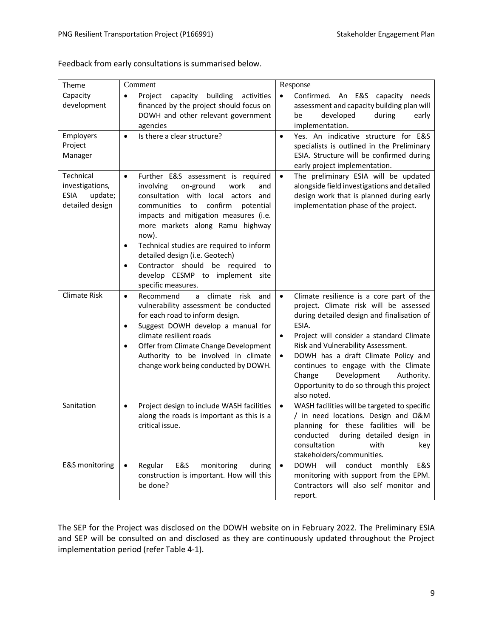| Theme                                                              | Comment                                                                                                                                                                                                                                                                                                                                                                                                                                                                           | Response                                                                                                                                                                                                                                                                                                                                                                                                                                             |
|--------------------------------------------------------------------|-----------------------------------------------------------------------------------------------------------------------------------------------------------------------------------------------------------------------------------------------------------------------------------------------------------------------------------------------------------------------------------------------------------------------------------------------------------------------------------|------------------------------------------------------------------------------------------------------------------------------------------------------------------------------------------------------------------------------------------------------------------------------------------------------------------------------------------------------------------------------------------------------------------------------------------------------|
| Capacity<br>development                                            | building<br>Project<br>capacity<br>activities<br>$\bullet$<br>financed by the project should focus on<br>DOWH and other relevant government<br>agencies                                                                                                                                                                                                                                                                                                                           | Confirmed. An E&S<br>$\bullet$<br>capacity<br>needs<br>assessment and capacity building plan will<br>developed<br>be<br>during<br>early<br>implementation.                                                                                                                                                                                                                                                                                           |
| Employers<br>Project<br>Manager                                    | Is there a clear structure?<br>$\bullet$                                                                                                                                                                                                                                                                                                                                                                                                                                          | Yes. An indicative structure for E&S<br>$\bullet$<br>specialists is outlined in the Preliminary<br>ESIA. Structure will be confirmed during<br>early project implementation.                                                                                                                                                                                                                                                                         |
| Technical<br>investigations,<br>ESIA<br>update;<br>detailed design | Further E&S assessment is required<br>$\bullet$<br>involving<br>on-ground<br>work<br>and<br>consultation with<br>local<br>actors<br>and<br>confirm<br>communities<br>to<br>potential<br>impacts and mitigation measures (i.e.<br>more markets along Ramu highway<br>now).<br>Technical studies are required to inform<br>$\bullet$<br>detailed design (i.e. Geotech)<br>Contractor should be required<br>to<br>$\bullet$<br>develop CESMP to implement site<br>specific measures. | The preliminary ESIA will be updated<br>$\bullet$<br>alongside field investigations and detailed<br>design work that is planned during early<br>implementation phase of the project.                                                                                                                                                                                                                                                                 |
| Climate Risk                                                       | Recommend<br>climate<br>risk<br>a<br>and<br>$\bullet$<br>vulnerability assessment be conducted<br>for each road to inform design.<br>Suggest DOWH develop a manual for<br>$\bullet$<br>climate resilient roads<br>Offer from Climate Change Development<br>Authority to be involved in climate<br>change work being conducted by DOWH.                                                                                                                                            | Climate resilience is a core part of the<br>$\bullet$<br>project. Climate risk will be assessed<br>during detailed design and finalisation of<br>ESIA.<br>Project will consider a standard Climate<br>$\bullet$<br>Risk and Vulnerability Assessment.<br>DOWH has a draft Climate Policy and<br>$\bullet$<br>continues to engage with the Climate<br>Development<br>Authority.<br>Change<br>Opportunity to do so through this project<br>also noted. |
| Sanitation                                                         | Project design to include WASH facilities<br>$\bullet$<br>along the roads is important as this is a<br>critical issue.                                                                                                                                                                                                                                                                                                                                                            | WASH facilities will be targeted to specific<br>$\bullet$<br>/ in need locations. Design and O&M<br>planning for these facilities will be<br>conducted<br>during detailed design in<br>consultation<br>with<br>key<br>stakeholders/communities.                                                                                                                                                                                                      |
| E&S monitoring                                                     | E&S<br>Regular<br>monitoring<br>during<br>$\bullet$<br>construction is important. How will this<br>be done?                                                                                                                                                                                                                                                                                                                                                                       | <b>DOWH</b><br>will conduct monthly<br>$\bullet$<br>E&S<br>monitoring with support from the EPM.<br>Contractors will also self monitor and<br>report.                                                                                                                                                                                                                                                                                                |

Feedback from early consultations is summarised below.

The SEP for the Project was disclosed on the DOWH website on in February 2022. The Preliminary ESIA and SEP will be consulted on and disclosed as they are continuously updated throughout the Project implementation period (refer [Table 4-1\)](#page-14-0).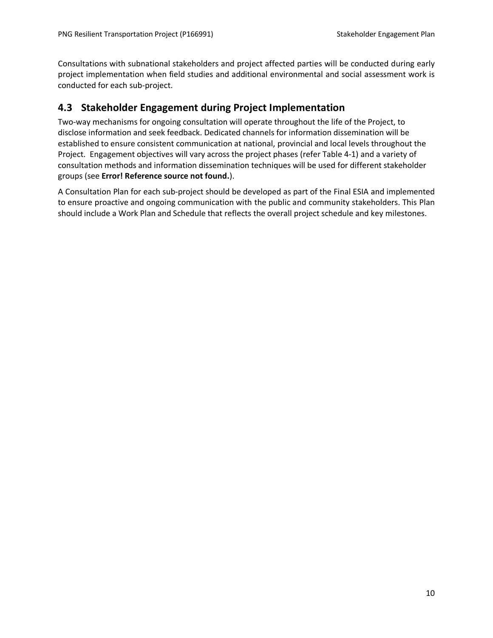Consultations with subnational stakeholders and project affected parties will be conducted during early project implementation when field studies and additional environmental and social assessment work is conducted for each sub-project.

### <span id="page-13-0"></span>**4.3 Stakeholder Engagement during Project Implementation**

Two-way mechanisms for ongoing consultation will operate throughout the life of the Project, to disclose information and seek feedback. Dedicated channels for information dissemination will be established to ensure consistent communication at national, provincial and local levels throughout the Project. Engagement objectives will vary across the project phases (refer [Table 4-1\)](#page-14-0) and a variety of consultation methods and information dissemination techniques will be used for different stakeholder groups (see **Error! Reference source not found.**).

A Consultation Plan for each sub-project should be developed as part of the Final ESIA and implemented to ensure proactive and ongoing communication with the public and community stakeholders. This Plan should include a Work Plan and Schedule that reflects the overall project schedule and key milestones.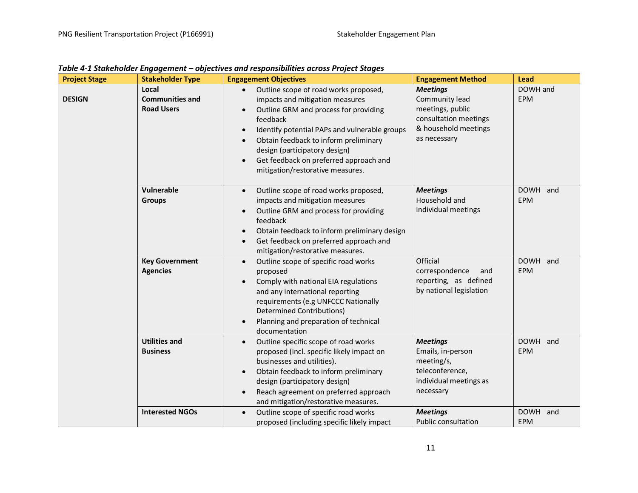<span id="page-14-0"></span>

| <b>Project Stage</b> | <b>Stakeholder Type</b>                              | <b>Engagement Objectives</b>                                                                                                                                                                                                                                                                                                                                                  | <b>Engagement Method</b>                                                                                               | <b>Lead</b>            |
|----------------------|------------------------------------------------------|-------------------------------------------------------------------------------------------------------------------------------------------------------------------------------------------------------------------------------------------------------------------------------------------------------------------------------------------------------------------------------|------------------------------------------------------------------------------------------------------------------------|------------------------|
| <b>DESIGN</b>        | Local<br><b>Communities and</b><br><b>Road Users</b> | Outline scope of road works proposed,<br>impacts and mitigation measures<br>Outline GRM and process for providing<br>feedback<br>Identify potential PAPs and vulnerable groups<br>$\bullet$<br>Obtain feedback to inform preliminary<br>$\bullet$<br>design (participatory design)<br>Get feedback on preferred approach and<br>$\bullet$<br>mitigation/restorative measures. | <b>Meetings</b><br>Community lead<br>meetings, public<br>consultation meetings<br>& household meetings<br>as necessary | DOWH and<br><b>EPM</b> |
|                      | Vulnerable<br><b>Groups</b>                          | Outline scope of road works proposed,<br>$\bullet$<br>impacts and mitigation measures<br>Outline GRM and process for providing<br>$\bullet$<br>feedback<br>Obtain feedback to inform preliminary design<br>$\bullet$<br>Get feedback on preferred approach and<br>$\bullet$<br>mitigation/restorative measures.                                                               | <b>Meetings</b><br>Household and<br>individual meetings                                                                | DOWH and<br><b>EPM</b> |
|                      | <b>Key Government</b><br><b>Agencies</b>             | Outline scope of specific road works<br>$\bullet$<br>proposed<br>Comply with national EIA regulations<br>$\bullet$<br>and any international reporting<br>requirements (e.g UNFCCC Nationally<br><b>Determined Contributions)</b><br>Planning and preparation of technical<br>$\bullet$<br>documentation                                                                       | Official<br>correspondence<br>and<br>reporting, as defined<br>by national legislation                                  | DOWH and<br>EPM        |
|                      | <b>Utilities and</b><br><b>Business</b>              | Outline specific scope of road works<br>$\bullet$<br>proposed (incl. specific likely impact on<br>businesses and utilities).<br>Obtain feedback to inform preliminary<br>$\bullet$<br>design (participatory design)<br>Reach agreement on preferred approach<br>$\bullet$<br>and mitigation/restorative measures.                                                             | <b>Meetings</b><br>Emails, in-person<br>meeting/s,<br>teleconference,<br>individual meetings as<br>necessary           | DOWH and<br><b>EPM</b> |
|                      | <b>Interested NGOs</b>                               | Outline scope of specific road works<br>$\bullet$<br>proposed (including specific likely impact                                                                                                                                                                                                                                                                               | <b>Meetings</b><br><b>Public consultation</b>                                                                          | DOWH and<br>EPM        |

*Table 4-1 Stakeholder Engagement – objectives and responsibilities across Project Stages*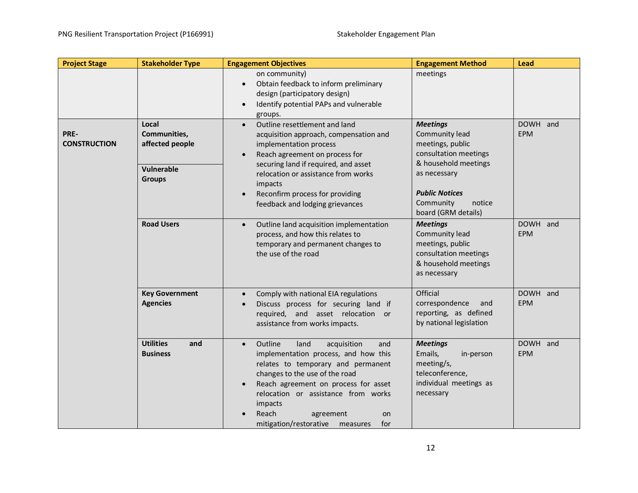| <b>Project Stage</b>        | <b>Stakeholder Type</b>                                                 | <b>Engagement Objectives</b>                                                                                                                                                                                                                                                                                                                    | <b>Engagement Method</b>                                                                                                                                                                      | Lead                   |
|-----------------------------|-------------------------------------------------------------------------|-------------------------------------------------------------------------------------------------------------------------------------------------------------------------------------------------------------------------------------------------------------------------------------------------------------------------------------------------|-----------------------------------------------------------------------------------------------------------------------------------------------------------------------------------------------|------------------------|
|                             |                                                                         | on community)<br>Obtain feedback to inform preliminary<br>$\bullet$<br>design (participatory design)<br>Identify potential PAPs and vulnerable<br>$\bullet$<br>groups.                                                                                                                                                                          | meetings                                                                                                                                                                                      |                        |
| PRE-<br><b>CONSTRUCTION</b> | Local<br>Communities,<br>affected people<br>Vulnerable<br><b>Groups</b> | Outline resettlement and land<br>$\bullet$<br>acquisition approach, compensation and<br>implementation process<br>Reach agreement on process for<br>$\bullet$<br>securing land if required, and asset<br>relocation or assistance from works<br>impacts<br>Reconfirm process for providing<br>$\bullet$<br>feedback and lodging grievances      | <b>Meetings</b><br>Community lead<br>meetings, public<br>consultation meetings<br>& household meetings<br>as necessary<br><b>Public Notices</b><br>Community<br>notice<br>board (GRM details) | DOWH and<br><b>EPM</b> |
|                             | <b>Road Users</b>                                                       | Outline land acquisition implementation<br>$\bullet$<br>process, and how this relates to<br>temporary and permanent changes to<br>the use of the road                                                                                                                                                                                           | <b>Meetings</b><br>Community lead<br>meetings, public<br>consultation meetings<br>& household meetings<br>as necessary                                                                        | DOWH and<br><b>EPM</b> |
|                             | <b>Key Government</b><br><b>Agencies</b>                                | Comply with national EIA regulations<br>$\bullet$<br>Discuss process for securing land if<br>$\bullet$<br>required, and asset relocation or<br>assistance from works impacts.                                                                                                                                                                   | Official<br>correspondence<br>and<br>reporting, as defined<br>by national legislation                                                                                                         | DOWH and<br><b>EPM</b> |
|                             | <b>Utilities</b><br>and<br><b>Business</b>                              | Outline<br>land<br>acquisition<br>and<br>$\bullet$<br>implementation process, and how this<br>relates to temporary and permanent<br>changes to the use of the road<br>Reach agreement on process for asset<br>$\bullet$<br>relocation or assistance from works<br>impacts<br>Reach<br>agreement<br>on<br>mitigation/restorative measures<br>for | <b>Meetings</b><br>Emails,<br>in-person<br>meeting/s,<br>teleconference,<br>individual meetings as<br>necessary                                                                               | DOWH and<br><b>EPM</b> |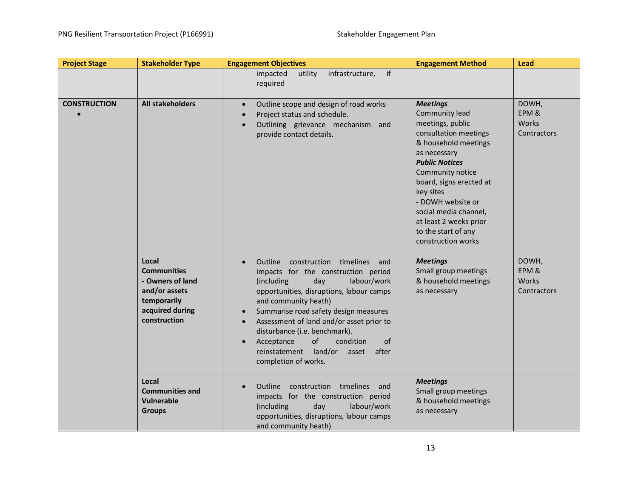| <b>Project Stage</b> | <b>Stakeholder Type</b>                                                                                            | <b>Engagement Objectives</b>                                                                                                                                                                                                                                                                                                                                                                                                                                          | <b>Engagement Method</b>                                                                                                                                                                                                                                                                                                         | Lead                                   |
|----------------------|--------------------------------------------------------------------------------------------------------------------|-----------------------------------------------------------------------------------------------------------------------------------------------------------------------------------------------------------------------------------------------------------------------------------------------------------------------------------------------------------------------------------------------------------------------------------------------------------------------|----------------------------------------------------------------------------------------------------------------------------------------------------------------------------------------------------------------------------------------------------------------------------------------------------------------------------------|----------------------------------------|
|                      |                                                                                                                    | if<br>infrastructure,<br>impacted<br>utility<br>required                                                                                                                                                                                                                                                                                                                                                                                                              |                                                                                                                                                                                                                                                                                                                                  |                                        |
| <b>CONSTRUCTION</b>  | All stakeholders                                                                                                   | Outline scope and design of road works<br>$\bullet$<br>Project status and schedule.<br>$\bullet$<br>Outlining grievance mechanism and<br>$\bullet$<br>provide contact details.                                                                                                                                                                                                                                                                                        | <b>Meetings</b><br>Community lead<br>meetings, public<br>consultation meetings<br>& household meetings<br>as necessary<br><b>Public Notices</b><br>Community notice<br>board, signs erected at<br>key sites<br>- DOWH website or<br>social media channel,<br>at least 2 weeks prior<br>to the start of any<br>construction works | DOWH,<br>EPM &<br>Works<br>Contractors |
|                      | Local<br><b>Communities</b><br>- Owners of land<br>and/or assets<br>temporarily<br>acquired during<br>construction | Outline construction timelines and<br>$\bullet$<br>impacts for the construction period<br>(including<br>day<br>labour/work<br>opportunities, disruptions, labour camps<br>and community heath)<br>Summarise road safety design measures<br>$\bullet$<br>Assessment of land and/or asset prior to<br>$\bullet$<br>disturbance (i.e. benchmark).<br>of<br>condition<br>of<br>Acceptance<br>$\bullet$<br>reinstatement land/or<br>after<br>asset<br>completion of works. | <b>Meetings</b><br>Small group meetings<br>& household meetings<br>as necessary                                                                                                                                                                                                                                                  | DOWH,<br>EPM&<br>Works<br>Contractors  |
|                      | Local<br><b>Communities and</b><br><b>Vulnerable</b><br><b>Groups</b>                                              | Outline construction timelines and<br>$\bullet$<br>impacts for the construction period<br>(including<br>day<br>labour/work<br>opportunities, disruptions, labour camps<br>and community heath)                                                                                                                                                                                                                                                                        | <b>Meetings</b><br>Small group meetings<br>& household meetings<br>as necessary                                                                                                                                                                                                                                                  |                                        |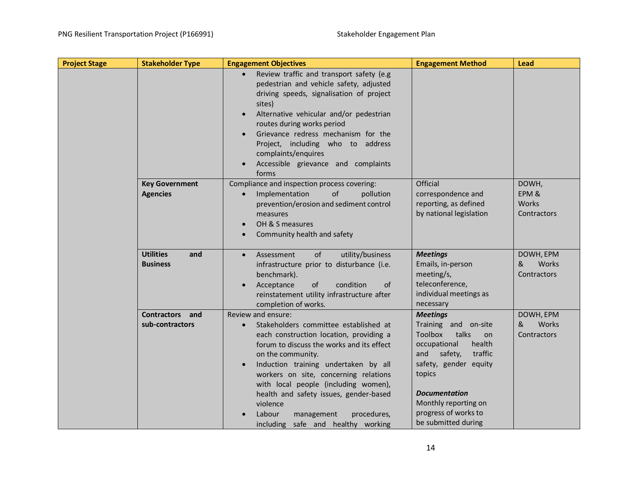| <b>Stakeholder Type</b><br><b>Project Stage</b> | <b>Engagement Objectives</b>                                                                                                                                                                                                                                                                                                                                                                                                             | <b>Engagement Method</b>                                                                                                                                                                                                         | Lead                                   |
|-------------------------------------------------|------------------------------------------------------------------------------------------------------------------------------------------------------------------------------------------------------------------------------------------------------------------------------------------------------------------------------------------------------------------------------------------------------------------------------------------|----------------------------------------------------------------------------------------------------------------------------------------------------------------------------------------------------------------------------------|----------------------------------------|
|                                                 | Review traffic and transport safety (e.g<br>pedestrian and vehicle safety, adjusted<br>driving speeds, signalisation of project<br>sites)<br>Alternative vehicular and/or pedestrian<br>$\bullet$<br>routes during works period<br>Grievance redress mechanism for the<br>$\bullet$<br>Project, including who to address<br>complaints/enquires<br>Accessible grievance and complaints<br>forms                                          |                                                                                                                                                                                                                                  |                                        |
| <b>Key Government</b>                           | Compliance and inspection process covering:                                                                                                                                                                                                                                                                                                                                                                                              | Official                                                                                                                                                                                                                         | DOWH,                                  |
| <b>Agencies</b>                                 | Implementation<br>of<br>pollution<br>prevention/erosion and sediment control<br>measures<br>OH & S measures<br>$\bullet$<br>Community health and safety                                                                                                                                                                                                                                                                                  | correspondence and<br>reporting, as defined<br>by national legislation                                                                                                                                                           | EPM &<br><b>Works</b><br>Contractors   |
| <b>Utilities</b><br>and<br><b>Business</b>      | utility/business<br>Assessment<br><b>of</b><br>$\bullet$<br>infrastructure prior to disturbance (i.e.<br>benchmark).<br>Acceptance<br>of<br>condition<br><sub>of</sub><br>$\bullet$<br>reinstatement utility infrastructure after<br>completion of works.                                                                                                                                                                                | <b>Meetings</b><br>Emails, in-person<br>meeting/s,<br>teleconference,<br>individual meetings as<br>necessary                                                                                                                     | DOWH, EPM<br>Works<br>&<br>Contractors |
| <b>Contractors</b><br>and                       | Review and ensure:                                                                                                                                                                                                                                                                                                                                                                                                                       | <b>Meetings</b>                                                                                                                                                                                                                  | DOWH, EPM                              |
| sub-contractors                                 | Stakeholders committee established at<br>$\bullet$<br>each construction location, providing a<br>forum to discuss the works and its effect<br>on the community.<br>Induction training undertaken by all<br>$\bullet$<br>workers on site, concerning relations<br>with local people (including women),<br>health and safety issues, gender-based<br>violence<br>Labour<br>procedures,<br>management<br>including safe and healthy working | Training and on-site<br>Toolbox<br>talks<br>on<br>occupational<br>health<br>and<br>safety,<br>traffic<br>safety, gender equity<br>topics<br>Documentation<br>Monthly reporting on<br>progress of works to<br>be submitted during | Works<br>&<br>Contractors              |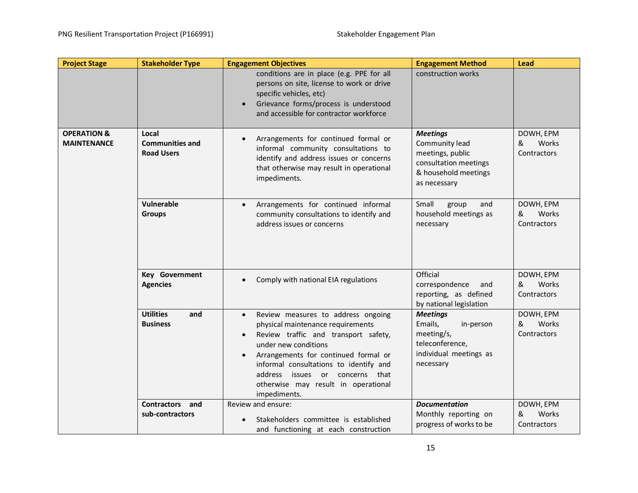| <b>Project Stage</b>                         | <b>Stakeholder Type</b>                              | <b>Engagement Objectives</b>                                                                                                                                                                                                                                                                                                                               | <b>Engagement Method</b>                                                                                               | Lead                                   |
|----------------------------------------------|------------------------------------------------------|------------------------------------------------------------------------------------------------------------------------------------------------------------------------------------------------------------------------------------------------------------------------------------------------------------------------------------------------------------|------------------------------------------------------------------------------------------------------------------------|----------------------------------------|
|                                              |                                                      | conditions are in place (e.g. PPE for all<br>persons on site, license to work or drive<br>specific vehicles, etc)<br>Grievance forms/process is understood<br>$\bullet$<br>and accessible for contractor workforce                                                                                                                                         | construction works                                                                                                     |                                        |
| <b>OPERATION &amp;</b><br><b>MAINTENANCE</b> | Local<br><b>Communities and</b><br><b>Road Users</b> | Arrangements for continued formal or<br>$\bullet$<br>informal community consultations to<br>identify and address issues or concerns<br>that otherwise may result in operational<br>impediments.                                                                                                                                                            | <b>Meetings</b><br>Community lead<br>meetings, public<br>consultation meetings<br>& household meetings<br>as necessary | DOWH, EPM<br>Works<br>&<br>Contractors |
|                                              | Vulnerable<br><b>Groups</b>                          | Arrangements for continued informal<br>$\bullet$<br>community consultations to identify and<br>address issues or concerns                                                                                                                                                                                                                                  | Small<br>group<br>and<br>household meetings as<br>necessary                                                            | DOWH, EPM<br>Works<br>&<br>Contractors |
|                                              | Key Government<br><b>Agencies</b>                    | Comply with national EIA regulations<br>$\bullet$                                                                                                                                                                                                                                                                                                          | Official<br>correspondence<br>and<br>reporting, as defined<br>by national legislation                                  | DOWH, EPM<br>&<br>Works<br>Contractors |
|                                              | <b>Utilities</b><br>and<br><b>Business</b>           | Review measures to address ongoing<br>$\bullet$<br>physical maintenance requirements<br>Review traffic and transport safety,<br>$\bullet$<br>under new conditions<br>Arrangements for continued formal or<br>$\bullet$<br>informal consultations to identify and<br>address issues or concerns that<br>otherwise may result in operational<br>impediments. | <b>Meetings</b><br>Emails,<br>in-person<br>meeting/s,<br>teleconference,<br>individual meetings as<br>necessary        | DOWH, EPM<br>&<br>Works<br>Contractors |
|                                              | <b>Contractors</b><br>and<br>sub-contractors         | Review and ensure:<br>Stakeholders committee is established<br>and functioning at each construction                                                                                                                                                                                                                                                        | <b>Documentation</b><br>Monthly reporting on<br>progress of works to be                                                | DOWH, EPM<br>&<br>Works<br>Contractors |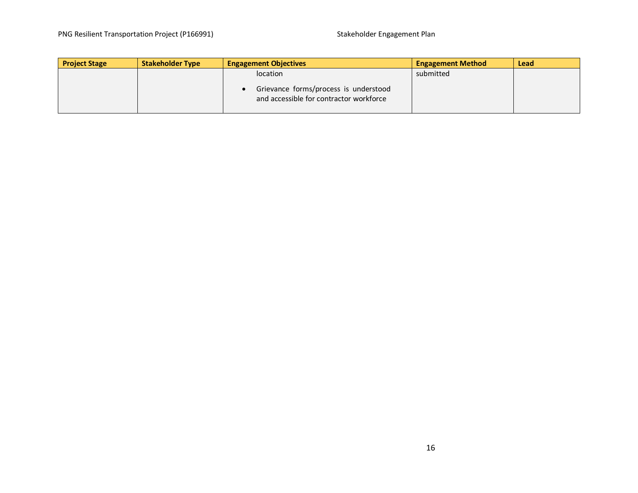| <b>Project Stage</b> | <b>Stakeholder Type</b> | <b>Engagement Objectives</b>                                                     | <b>Engagement Method</b> | <b>Lead</b> |
|----------------------|-------------------------|----------------------------------------------------------------------------------|--------------------------|-------------|
|                      |                         | location                                                                         | submitted                |             |
|                      |                         | Grievance forms/process is understood<br>and accessible for contractor workforce |                          |             |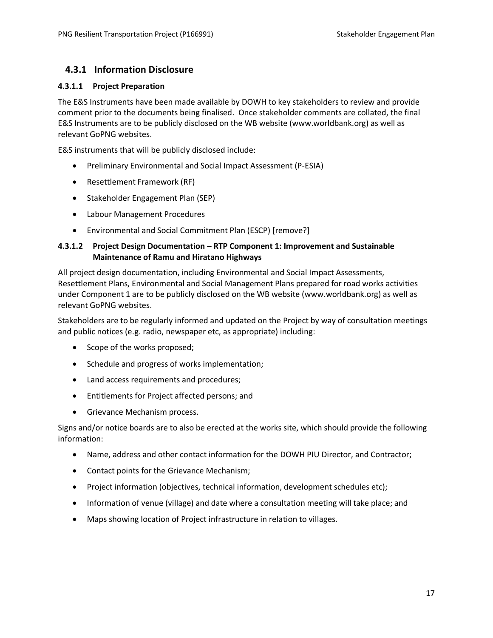### <span id="page-20-0"></span>**4.3.1 Information Disclosure**

#### **4.3.1.1 Project Preparation**

The E&S Instruments have been made available by DOWH to key stakeholders to review and provide comment prior to the documents being finalised. Once stakeholder comments are collated, the final E&S Instruments are to be publicly disclosed on the WB website (www.worldbank.org) as well as relevant GoPNG websites.

E&S instruments that will be publicly disclosed include:

- Preliminary Environmental and Social Impact Assessment (P-ESIA)
- Resettlement Framework (RF)
- Stakeholder Engagement Plan (SEP)
- Labour Management Procedures
- Environmental and Social Commitment Plan (ESCP) [remove?]

#### **4.3.1.2 Project Design Documentation – RTP Component 1: Improvement and Sustainable Maintenance of Ramu and Hiratano Highways**

All project design documentation, including Environmental and Social Impact Assessments, Resettlement Plans, Environmental and Social Management Plans prepared for road works activities under Component 1 are to be publicly disclosed on the WB website (www.worldbank.org) as well as relevant GoPNG websites.

Stakeholders are to be regularly informed and updated on the Project by way of consultation meetings and public notices (e.g. radio, newspaper etc, as appropriate) including:

- Scope of the works proposed;
- Schedule and progress of works implementation;
- Land access requirements and procedures;
- Entitlements for Project affected persons; and
- Grievance Mechanism process.

Signs and/or notice boards are to also be erected at the works site, which should provide the following information:

- Name, address and other contact information for the DOWH PIU Director, and Contractor;
- Contact points for the Grievance Mechanism;
- Project information (objectives, technical information, development schedules etc);
- Information of venue (village) and date where a consultation meeting will take place; and
- Maps showing location of Project infrastructure in relation to villages.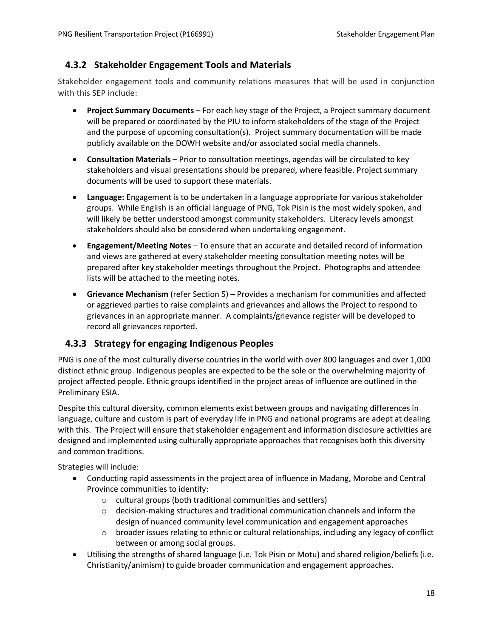### <span id="page-21-0"></span>**4.3.2 Stakeholder Engagement Tools and Materials**

Stakeholder engagement tools and community relations measures that will be used in conjunction with this SEP include:

- **Project Summary Documents** For each key stage of the Project, a Project summary document will be prepared or coordinated by the PIU to inform stakeholders of the stage of the Project and the purpose of upcoming consultation(s). Project summary documentation will be made publicly available on the DOWH website and/or associated social media channels.
- **Consultation Materials** Prior to consultation meetings, agendas will be circulated to key stakeholders and visual presentations should be prepared, where feasible. Project summary documents will be used to support these materials.
- **Language:** Engagement is to be undertaken in a language appropriate for various stakeholder groups. While English is an official language of PNG, Tok Pisin is the most widely spoken, and will likely be better understood amongst community stakeholders. Literacy levels amongst stakeholders should also be considered when undertaking engagement.
- **Engagement/Meeting Notes**  To ensure that an accurate and detailed record of information and views are gathered at every stakeholder meeting consultation meeting notes will be prepared after key stakeholder meetings throughout the Project. Photographs and attendee lists will be attached to the meeting notes.
- **Grievance Mechanism** (refer Section 5) Provides a mechanism for communities and affected or aggrieved parties to raise complaints and grievances and allows the Project to respond to grievances in an appropriate manner. A complaints/grievance register will be developed to record all grievances reported.

### <span id="page-21-1"></span>**4.3.3 Strategy for engaging Indigenous Peoples**

PNG is one of the most culturally diverse countries in the world with over 800 languages and over 1,000 distinct ethnic group. Indigenous peoples are expected to be the sole or the overwhelming majority of project affected people. Ethnic groups identified in the project areas of influence are outlined in the Preliminary ESIA.

Despite this cultural diversity, common elements exist between groups and navigating differences in language, culture and custom is part of everyday life in PNG and national programs are adept at dealing with this. The Project will ensure that stakeholder engagement and information disclosure activities are designed and implemented using culturally appropriate approaches that recognises both this diversity and common traditions.

Strategies will include:

- Conducting rapid assessments in the project area of influence in Madang, Morobe and Central Province communities to identify:
	- o cultural groups (both traditional communities and settlers)
	- $\circ$  decision-making structures and traditional communication channels and inform the design of nuanced community level communication and engagement approaches
	- $\circ$  broader issues relating to ethnic or cultural relationships, including any legacy of conflict between or among social groups.
- Utilising the strengths of shared language (i.e. Tok Pisin or Motu) and shared religion/beliefs (i.e. Christianity/animism) to guide broader communication and engagement approaches.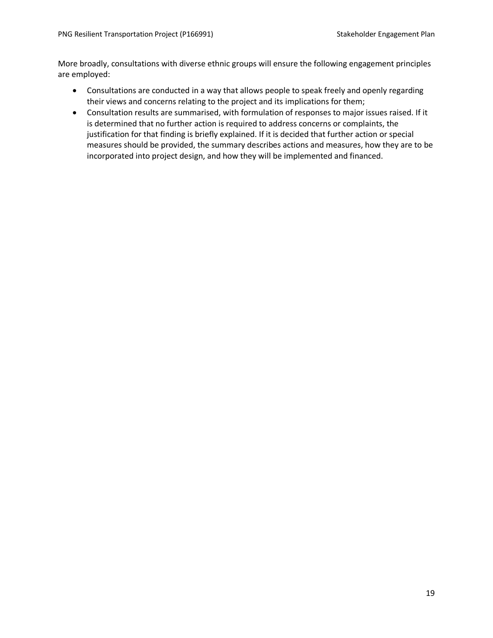More broadly, consultations with diverse ethnic groups will ensure the following engagement principles are employed:

- Consultations are conducted in a way that allows people to speak freely and openly regarding their views and concerns relating to the project and its implications for them;
- Consultation results are summarised, with formulation of responses to major issues raised. If it is determined that no further action is required to address concerns or complaints, the justification for that finding is briefly explained. If it is decided that further action or special measures should be provided, the summary describes actions and measures, how they are to be incorporated into project design, and how they will be implemented and financed.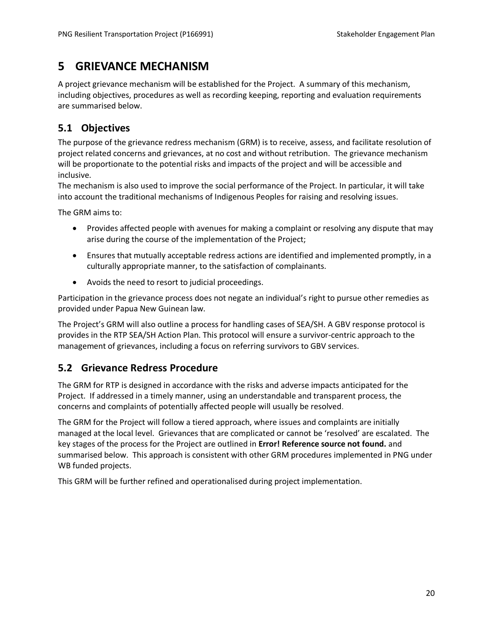# <span id="page-23-0"></span>**5 GRIEVANCE MECHANISM**

A project grievance mechanism will be established for the Project. A summary of this mechanism, including objectives, procedures as well as recording keeping, reporting and evaluation requirements are summarised below.

## <span id="page-23-1"></span>**5.1 Objectives**

The purpose of the grievance redress mechanism (GRM) is to receive, assess, and facilitate resolution of project related concerns and grievances, at no cost and without retribution. The grievance mechanism will be proportionate to the potential risks and impacts of the project and will be accessible and inclusive.

The mechanism is also used to improve the social performance of the Project. In particular, it will take into account the traditional mechanisms of Indigenous Peoples for raising and resolving issues.

The GRM aims to:

- Provides affected people with avenues for making a complaint or resolving any dispute that may arise during the course of the implementation of the Project;
- Ensures that mutually acceptable redress actions are identified and implemented promptly, in a culturally appropriate manner, to the satisfaction of complainants.
- Avoids the need to resort to judicial proceedings.

Participation in the grievance process does not negate an individual's right to pursue other remedies as provided under Papua New Guinean law.

The Project's GRM will also outline a process for handling cases of SEA/SH. A GBV response protocol is provides in the RTP SEA/SH Action Plan. This protocol will ensure a survivor-centric approach to the management of grievances, including a focus on referring survivors to GBV services.

### <span id="page-23-2"></span>**5.2 Grievance Redress Procedure**

The GRM for RTP is designed in accordance with the risks and adverse impacts anticipated for the Project. If addressed in a timely manner, using an understandable and transparent process, the concerns and complaints of potentially affected people will usually be resolved.

The GRM for the Project will follow a tiered approach, where issues and complaints are initially managed at the local level. Grievances that are complicated or cannot be 'resolved' are escalated. The key stages of the process for the Project are outlined in **Error! Reference source not found.** and summarised below. This approach is consistent with other GRM procedures implemented in PNG under WB funded projects.

This GRM will be further refined and operationalised during project implementation.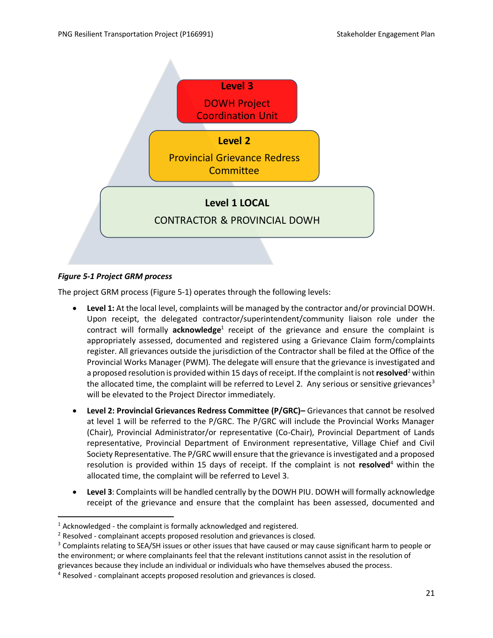

#### <span id="page-24-0"></span>*Figure 5-1 Project GRM process*

The project GRM process [\(Figure 5-1\)](#page-24-0) operates through the following levels:

- **Level 1:** At the local level, complaints will be managed by the contractor and/or provincial DOWH. Upon receipt, the delegated contractor/superintendent/community liaison role under the contract will formally acknowledge<sup>1</sup> receipt of the grievance and ensure the complaint is appropriately assessed, documented and registered using a Grievance Claim form/complaints register. All grievances outside the jurisdiction of the Contractor shall be filed at the Office of the Provincial Works Manager (PWM). The delegate will ensure that the grievance is investigated and a proposed resolution is provided within 15 days of receipt. If the complaint is not **resolved** <sup>2</sup> within the allocated time, the complaint will be referred to Level 2. Any serious or sensitive grievances<sup>3</sup> will be elevated to the Project Director immediately.
- **Level 2: Provincial Grievances Redress Committee (P/GRC)–** Grievances that cannot be resolved at level 1 will be referred to the P/GRC. The P/GRC will include the Provincial Works Manager (Chair), Provincial Administrator/or representative (Co-Chair), Provincial Department of Lands representative, Provincial Department of Environment representative, Village Chief and Civil Society Representative. The P/GRC wwill ensure that the grievance is investigated and a proposed resolution is provided within 15 days of receipt. If the complaint is not resolved<sup>4</sup> within the allocated time, the complaint will be referred to Level 3.
- **Level 3**: Complaints will be handled centrally by the DOWH PIU. DOWH will formally acknowledge receipt of the grievance and ensure that the complaint has been assessed, documented and

 $1$  Acknowledged - the complaint is formally acknowledged and registered.

<sup>&</sup>lt;sup>2</sup> Resolved - complainant accepts proposed resolution and grievances is closed.

<sup>&</sup>lt;sup>3</sup> Complaints relating to SEA/SH issues or other issues that have caused or may cause significant harm to people or the environment; or where complainants feel that the relevant institutions cannot assist in the resolution of grievances because they include an individual or individuals who have themselves abused the process.

<sup>4</sup> Resolved - complainant accepts proposed resolution and grievances is closed.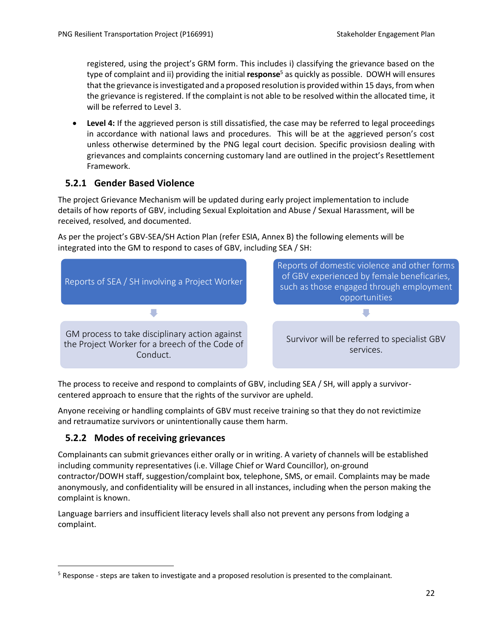registered, using the project's GRM form. This includes i) classifying the grievance based on the type of complaint and ii) providing the initial **response**<sup>5</sup> as quickly as possible. DOWH will ensures that the grievance is investigated and a proposed resolution is provided within 15 days, from when the grievance is registered. If the complaint is not able to be resolved within the allocated time, it will be referred to Level 3.

• **Level 4:** If the aggrieved person is still dissatisfied, the case may be referred to legal proceedings in accordance with national laws and procedures. This will be at the aggrieved person's cost unless otherwise determined by the PNG legal court decision. Specific provisiosn dealing with grievances and complaints concerning customary land are outlined in the project's Resettlement Framework.

### <span id="page-25-0"></span>**5.2.1 Gender Based Violence**

The project Grievance Mechanism will be updated during early project implementation to include details of how reports of GBV, including Sexual Exploitation and Abuse / Sexual Harassment, will be received, resolved, and documented.

As per the project's GBV-SEA/SH Action Plan (refer ESIA, Annex B) the following elements will be integrated into the GM to respond to cases of GBV, including SEA / SH:



The process to receive and respond to complaints of GBV, including SEA / SH, will apply a survivorcentered approach to ensure that the rights of the survivor are upheld.

Anyone receiving or handling complaints of GBV must receive training so that they do not revictimize and retraumatize survivors or unintentionally cause them harm.

### **5.2.2 Modes of receiving grievances**

Complainants can submit grievances either orally or in writing. A variety of channels will be established including community representatives (i.e. Village Chief or Ward Councillor), on-ground contractor/DOWH staff, suggestion/complaint box, telephone, SMS, or email. Complaints may be made anonymously, and confidentiality will be ensured in all instances, including when the person making the complaint is known.

Language barriers and insufficient literacy levels shall also not prevent any persons from lodging a complaint.

<sup>5</sup> Response - steps are taken to investigate and a proposed resolution is presented to the complainant.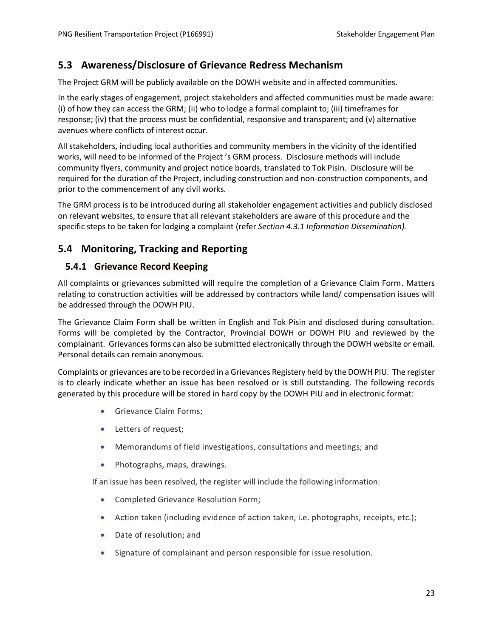### <span id="page-26-0"></span>**5.3 Awareness/Disclosure of Grievance Redress Mechanism**

The Project GRM will be publicly available on the DOWH website and in affected communities.

In the early stages of engagement, project stakeholders and affected communities must be made aware: (i) of how they can access the GRM; (ii) who to lodge a formal complaint to; (iii) timeframes for response; (iv) that the process must be confidential, responsive and transparent; and (v) alternative avenues where conflicts of interest occur.

All stakeholders, including local authorities and community members in the vicinity of the identified works, will need to be informed of the Project 's GRM process. Disclosure methods will include community flyers, community and project notice boards, translated to Tok Pisin. Disclosure will be required for the duration of the Project, including construction and non-construction components, and prior to the commencement of any civil works.

The GRM process is to be introduced during all stakeholder engagement activities and publicly disclosed on relevant websites, to ensure that all relevant stakeholders are aware of this procedure and the specific steps to be taken for lodging a complaint (refer *Sectio[n 4.3.1](#page-20-0) Information Dissemination).*

### <span id="page-26-1"></span>**5.4 Monitoring, Tracking and Reporting**

### <span id="page-26-2"></span>**5.4.1 Grievance Record Keeping**

All complaints or grievances submitted will require the completion of a Grievance Claim Form. Matters relating to construction activities will be addressed by contractors while land/ compensation issues will be addressed through the DOWH PIU.

The Grievance Claim Form shall be written in English and Tok Pisin and disclosed during consultation. Forms will be completed by the Contractor, Provincial DOWH or DOWH PIU and reviewed by the complainant. Grievances forms can also be submitted electronically through the DOWH website or email. Personal details can remain anonymous.

Complaints or grievances are to be recorded in a Grievances Registery held by the DOWH PIU. The register is to clearly indicate whether an issue has been resolved or is still outstanding. The following records generated by this procedure will be stored in hard copy by the DOWH PIU and in electronic format:

- Grievance Claim Forms;
- Letters of request;
- Memorandums of field investigations, consultations and meetings; and
- Photographs, maps, drawings.

If an issue has been resolved, the register will include the following information:

- Completed Grievance Resolution Form;
- Action taken (including evidence of action taken, i.e. photographs, receipts, etc.);
- Date of resolution; and
- Signature of complainant and person responsible for issue resolution.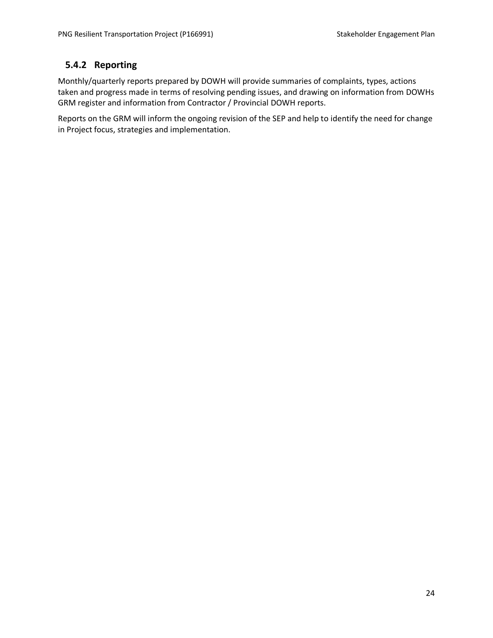### <span id="page-27-0"></span>**5.4.2 Reporting**

Monthly/quarterly reports prepared by DOWH will provide summaries of complaints, types, actions taken and progress made in terms of resolving pending issues, and drawing on information from DOWHs GRM register and information from Contractor / Provincial DOWH reports.

Reports on the GRM will inform the ongoing revision of the SEP and help to identify the need for change in Project focus, strategies and implementation.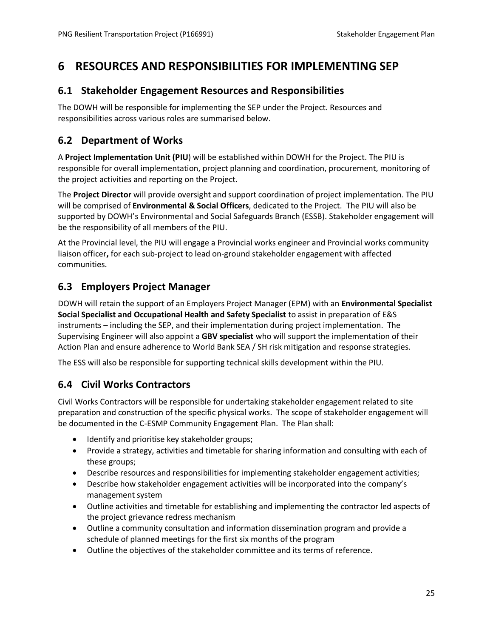# <span id="page-28-0"></span>**6 RESOURCES AND RESPONSIBILITIES FOR IMPLEMENTING SEP**

### <span id="page-28-1"></span>**6.1 Stakeholder Engagement Resources and Responsibilities**

The DOWH will be responsible for implementing the SEP under the Project. Resources and responsibilities across various roles are summarised below.

### <span id="page-28-2"></span>**6.2 Department of Works**

A **Project Implementation Unit (PIU**) will be established within DOWH for the Project. The PIU is responsible for overall implementation, project planning and coordination, procurement, monitoring of the project activities and reporting on the Project.

The **Project Director** will provide oversight and support coordination of project implementation. The PIU will be comprised of **Environmental & Social Officers**, dedicated to the Project. The PIU will also be supported by DOWH's Environmental and Social Safeguards Branch (ESSB). Stakeholder engagement will be the responsibility of all members of the PIU.

At the Provincial level, the PIU will engage a Provincial works engineer and Provincial works community liaison officer**,** for each sub-project to lead on-ground stakeholder engagement with affected communities.

### <span id="page-28-3"></span>**6.3 Employers Project Manager**

DOWH will retain the support of an Employers Project Manager (EPM) with an **Environmental Specialist Social Specialist and Occupational Health and Safety Specialist** to assist in preparation of E&S instruments – including the SEP, and their implementation during project implementation. The Supervising Engineer will also appoint a **GBV specialist** who will support the implementation of their Action Plan and ensure adherence to World Bank SEA / SH risk mitigation and response strategies.

The ESS will also be responsible for supporting technical skills development within the PIU.

### <span id="page-28-4"></span>**6.4 Civil Works Contractors**

Civil Works Contractors will be responsible for undertaking stakeholder engagement related to site preparation and construction of the specific physical works. The scope of stakeholder engagement will be documented in the C-ESMP Community Engagement Plan. The Plan shall:

- Identify and prioritise key stakeholder groups;
- Provide a strategy, activities and timetable for sharing information and consulting with each of these groups;
- Describe resources and responsibilities for implementing stakeholder engagement activities;
- Describe how stakeholder engagement activities will be incorporated into the company's management system
- Outline activities and timetable for establishing and implementing the contractor led aspects of the project grievance redress mechanism
- Outline a community consultation and information dissemination program and provide a schedule of planned meetings for the first six months of the program
- Outline the objectives of the stakeholder committee and its terms of reference.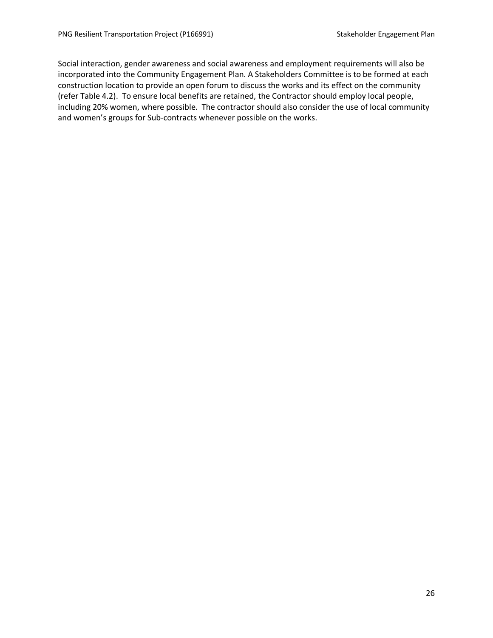Social interaction, gender awareness and social awareness and employment requirements will also be incorporated into the Community Engagement Plan. A Stakeholders Committee is to be formed at each construction location to provide an open forum to discuss the works and its effect on the community (refer Table 4.2). To ensure local benefits are retained, the Contractor should employ local people, including 20% women, where possible. The contractor should also consider the use of local community and women's groups for Sub-contracts whenever possible on the works.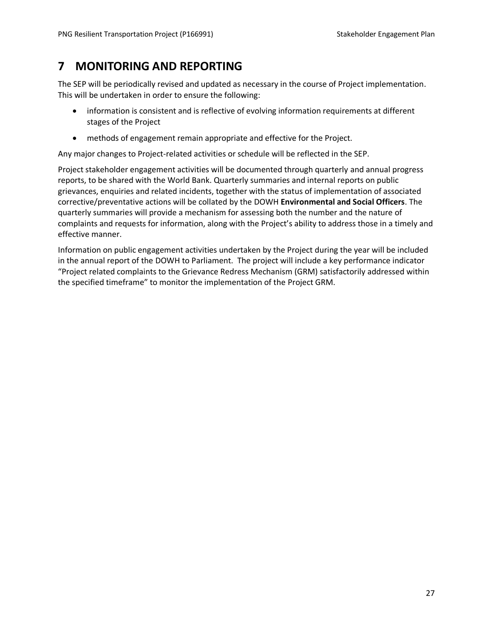# <span id="page-30-0"></span>**7 MONITORING AND REPORTING**

The SEP will be periodically revised and updated as necessary in the course of Project implementation. This will be undertaken in order to ensure the following:

- information is consistent and is reflective of evolving information requirements at different stages of the Project
- methods of engagement remain appropriate and effective for the Project.

Any major changes to Project-related activities or schedule will be reflected in the SEP.

Project stakeholder engagement activities will be documented through quarterly and annual progress reports, to be shared with the World Bank. Quarterly summaries and internal reports on public grievances, enquiries and related incidents, together with the status of implementation of associated corrective/preventative actions will be collated by the DOWH **Environmental and Social Officers**. The quarterly summaries will provide a mechanism for assessing both the number and the nature of complaints and requests for information, along with the Project's ability to address those in a timely and effective manner.

Information on public engagement activities undertaken by the Project during the year will be included in the annual report of the DOWH to Parliament. The project will include a key performance indicator "Project related complaints to the Grievance Redress Mechanism (GRM) satisfactorily addressed within the specified timeframe" to monitor the implementation of the Project GRM.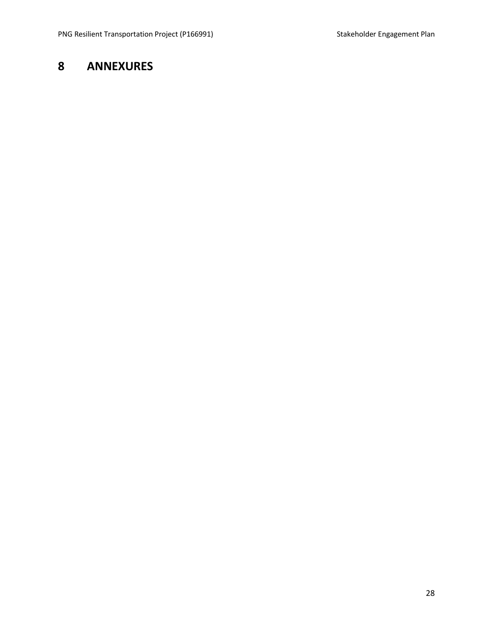# <span id="page-31-0"></span>**ANNEXURES**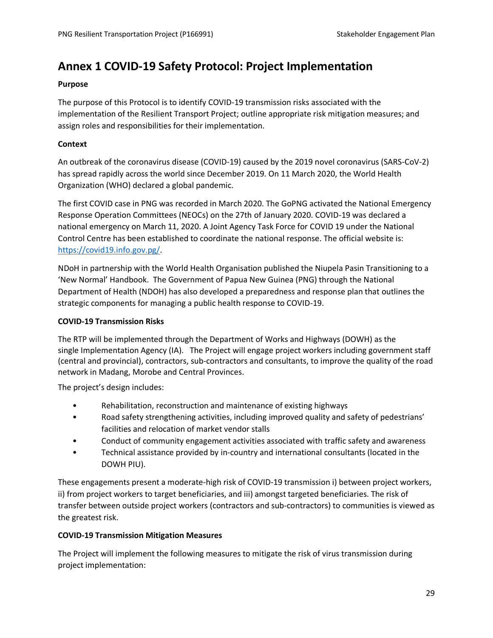# <span id="page-32-0"></span>**Annex 1 COVID-19 Safety Protocol: Project Implementation**

#### **Purpose**

The purpose of this Protocol is to identify COVID-19 transmission risks associated with the implementation of the Resilient Transport Project; outline appropriate risk mitigation measures; and assign roles and responsibilities for their implementation.

#### **Context**

An outbreak of the coronavirus disease (COVID-19) caused by the 2019 novel coronavirus (SARS-CoV-2) has spread rapidly across the world since December 2019. On 11 March 2020, the World Health Organization (WHO) declared a global pandemic.

The first COVID case in PNG was recorded in March 2020. The GoPNG activated the National Emergency Response Operation Committees (NEOCs) on the 27th of January 2020. COVID-19 was declared a national emergency on March 11, 2020. A Joint Agency Task Force for COVID 19 under the National Control Centre has been established to coordinate the national response. The official website is: [https://covid19.info.gov.pg/.](https://covid19.info.gov.pg/)

NDoH in partnership with the World Health Organisation published the Niupela Pasin Transitioning to a 'New Normal' Handbook. The Government of Papua New Guinea (PNG) through the National Department of Health (NDOH) has also developed a preparedness and response plan that outlines the strategic components for managing a public health response to COVID-19.

#### **COVID-19 Transmission Risks**

The RTP will be implemented through the Department of Works and Highways (DOWH) as the single Implementation Agency (IA). The Project will engage project workers including government staff (central and provincial), contractors, sub-contractors and consultants, to improve the quality of the road network in Madang, Morobe and Central Provinces.

The project's design includes:

- Rehabilitation, reconstruction and maintenance of existing highways
- Road safety strengthening activities, including improved quality and safety of pedestrians' facilities and relocation of market vendor stalls
- Conduct of community engagement activities associated with traffic safety and awareness
- Technical assistance provided by in-country and international consultants (located in the DOWH PIU).

These engagements present a moderate-high risk of COVID-19 transmission i) between project workers, ii) from project workers to target beneficiaries, and iii) amongst targeted beneficiaries. The risk of transfer between outside project workers (contractors and sub-contractors) to communities is viewed as the greatest risk.

#### **COVID-19 Transmission Mitigation Measures**

The Project will implement the following measures to mitigate the risk of virus transmission during project implementation: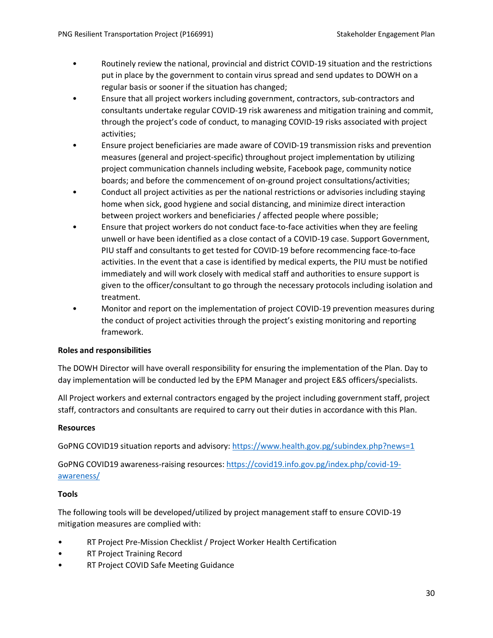- Routinely review the national, provincial and district COVID-19 situation and the restrictions put in place by the government to contain virus spread and send updates to DOWH on a regular basis or sooner if the situation has changed;
- Ensure that all project workers including government, contractors, sub-contractors and consultants undertake regular COVID-19 risk awareness and mitigation training and commit, through the project's code of conduct, to managing COVID-19 risks associated with project activities;
- Ensure project beneficiaries are made aware of COVID-19 transmission risks and prevention measures (general and project-specific) throughout project implementation by utilizing project communication channels including website, Facebook page, community notice boards; and before the commencement of on-ground project consultations/activities;
- Conduct all project activities as per the national restrictions or advisories including staying home when sick, good hygiene and social distancing, and minimize direct interaction between project workers and beneficiaries / affected people where possible;
- Ensure that project workers do not conduct face-to-face activities when they are feeling unwell or have been identified as a close contact of a COVID-19 case. Support Government, PIU staff and consultants to get tested for COVID-19 before recommencing face-to-face activities. In the event that a case is identified by medical experts, the PIU must be notified immediately and will work closely with medical staff and authorities to ensure support is given to the officer/consultant to go through the necessary protocols including isolation and treatment.
- Monitor and report on the implementation of project COVID-19 prevention measures during the conduct of project activities through the project's existing monitoring and reporting framework.

#### **Roles and responsibilities**

The DOWH Director will have overall responsibility for ensuring the implementation of the Plan. Day to day implementation will be conducted led by the EPM Manager and project E&S officers/specialists.

All Project workers and external contractors engaged by the project including government staff, project staff, contractors and consultants are required to carry out their duties in accordance with this Plan.

#### **Resources**

GoPNG COVID19 situation reports and advisory[: https://www.health.gov.pg/subindex.php?news=1](https://www.health.gov.pg/subindex.php?news=1) 

GoPNG COVID19 awareness-raising resources: [https://covid19.info.gov.pg/index.php/covid-19](https://covid19.info.gov.pg/index.php/covid-19-awareness/) [awareness/](https://covid19.info.gov.pg/index.php/covid-19-awareness/) 

#### **Tools**

The following tools will be developed/utilized by project management staff to ensure COVID-19 mitigation measures are complied with:

- RT Project Pre-Mission Checklist / Project Worker Health Certification
- RT Project Training Record
- RT Project COVID Safe Meeting Guidance